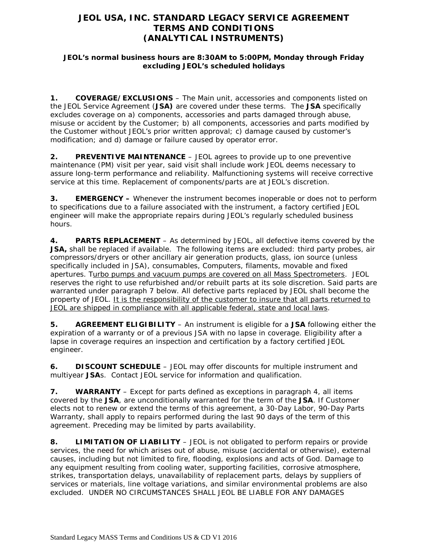# **JEOL USA, INC. STANDARD LEGACY SERVICE AGREEMENT TERMS AND CONDITIONS (ANALYTICAL INSTRUMENTS)**

### **JEOL's normal business hours are 8:30AM to 5:00PM, Monday through Friday excluding JEOL's scheduled holidays**

**1. COVERAGE/EXCLUSIONS** – The Main unit, accessories and components listed on the JEOL Service Agreement (**JSA)** are covered under these terms. The **JSA** specifically excludes coverage on a) components, accessories and parts damaged through abuse, misuse or accident by the Customer; b) all components, accessories and parts modified by the Customer without JEOL's prior written approval; c) damage caused by customer's modification; and d) damage or failure caused by operator error.

**2. PREVENTIVE MAINTENANCE** – JEOL agrees to provide up to one preventive maintenance (PM) visit per year, said visit shall include work JEOL deems necessary to assure long-term performance and reliability. Malfunctioning systems will receive corrective service at this time. Replacement of components/parts are at JEOL's discretion.

**3. EMERGENCY –** Whenever the instrument becomes inoperable or does not to perform to specifications due to a failure associated with the instrument, a factory certified JEOL engineer will make the appropriate repairs during JEOL's regularly scheduled business hours.

**4. PARTS REPLACEMENT** – As determined by JEOL, all defective items covered by the **JSA,** shall be replaced if available. The following items are excluded: third party probes, air compressors/dryers or other ancillary air generation products, glass, ion source (unless specifically included in JSA), consumables, Computers, filaments, movable and fixed apertures. Turbo pumps and vacuum pumps are covered on all Mass Spectrometers. JEOL reserves the right to use refurbished and/or rebuilt parts at its sole discretion. Said parts are warranted under paragraph 7 below. All defective parts replaced by JEOL shall become the property of JEOL. It is the responsibility of the customer to insure that all parts returned to JEOL are shipped in compliance with all applicable federal, state and local laws.

**5. AGREEMENT ELIGIBILITY** – An instrument is eligible for a **JSA** following either the expiration of a warranty or of a previous JSA with no lapse in coverage. Eligibility after a lapse in coverage requires an inspection and certification by a factory certified JEOL engineer.

**6. DISCOUNT SCHEDULE** – JEOL may offer discounts for multiple instrument and multiyear **JSA**s. Contact JEOL service for information and qualification.

**7. WARRANTY** – Except for parts defined as exceptions in paragraph 4, all items covered by the **JSA**, are unconditionally warranted for the term of the **JSA**. If Customer elects not to renew or extend the terms of this agreement, a 30-Day Labor, 90-Day Parts Warranty, shall apply to repairs performed during the last 90 days of the term of this agreement. Preceding may be limited by parts availability.

**8. LIMITATION OF LIABILITY** – JEOL is not obligated to perform repairs or provide services, the need for which arises out of abuse, misuse (accidental or otherwise), external causes, including but not limited to fire, flooding, explosions and acts of God. Damage to any equipment resulting from cooling water, supporting facilities, corrosive atmosphere, strikes, transportation delays, unavailability of replacement parts, delays by suppliers of services or materials, line voltage variations, and similar environmental problems are also excluded. UNDER NO CIRCUMSTANCES SHALL JEOL BE LIABLE FOR ANY DAMAGES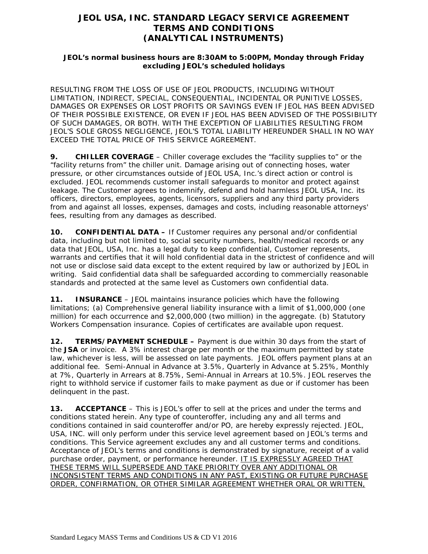# **JEOL USA, INC. STANDARD LEGACY SERVICE AGREEMENT TERMS AND CONDITIONS (ANALYTICAL INSTRUMENTS)**

### **JEOL's normal business hours are 8:30AM to 5:00PM, Monday through Friday excluding JEOL's scheduled holidays**

RESULTING FROM THE LOSS OF USE OF JEOL PRODUCTS, INCLUDING WITHOUT LIMITATION, INDIRECT, SPECIAL, CONSEQUENTIAL, INCIDENTAL OR PUNITIVE LOSSES, DAMAGES OR EXPENSES OR LOST PROFITS OR SAVINGS EVEN IF JEOL HAS BEEN ADVISED OF THEIR POSSIBLE EXISTENCE, OR EVEN IF JEOL HAS BEEN ADVISED OF THE POSSIBILITY OF SUCH DAMAGES, OR BOTH. WITH THE EXCEPTION OF LIABILITIES RESULTING FROM JEOL'S SOLE GROSS NEGLIGENCE, JEOL'S TOTAL LIABILITY HEREUNDER SHALL IN NO WAY EXCEED THE TOTAL PRICE OF THIS SERVICE AGREEMENT.

**9. CHILLER COVERAGE** – Chiller coverage excludes the "facility supplies to" or the "facility returns from" the chiller unit. Damage arising out of connecting hoses, water pressure, or other circumstances outside of JEOL USA, Inc.'s direct action or control is excluded. JEOL recommends customer install safeguards to monitor and protect against leakage. The Customer agrees to indemnify, defend and hold harmless JEOL USA, Inc. its officers, directors, employees, agents, licensors, suppliers and any third party providers from and against all losses, expenses, damages and costs, including reasonable attorneys' fees, resulting from any damages as described.

**10. CONFIDENTIAL DATA –** If Customer requires any personal and/or confidential data, including but not limited to, social security numbers, health/medical records or any data that JEOL, USA, Inc. has a legal duty to keep confidential, Customer represents, warrants and certifies that it will hold confidential data in the strictest of confidence and will not use or disclose said data except to the extent required by law or authorized by JEOL in writing. Said confidential data shall be safeguarded according to commercially reasonable standards and protected at the same level as Customers own confidential data.

**11. INSURANCE** – JEOL maintains insurance policies which have the following limitations; (a) Comprehensive general liability insurance with a limit of \$1,000,000 (one million) for each occurrence and \$2,000,000 (two million) in the aggregate. (b) Statutory Workers Compensation insurance. Copies of certificates are available upon request.

**12. TERMS/PAYMENT SCHEDULE –** Payment is due within 30 days from the start of the **JSA** or invoice. A 3% interest charge per month or the maximum permitted by state law, whichever is less, will be assessed on late payments. JEOL offers payment plans at an additional fee. Semi-Annual in Advance at 3.5%, Quarterly in Advance at 5.25%, Monthly at 7%, Quarterly in Arrears at 8.75%, Semi-Annual in Arrears at 10.5%. JEOL reserves the right to withhold service if customer fails to make payment as due or if customer has been delinquent in the past.

**13. ACCEPTANCE** – This is JEOL's offer to sell at the prices and under the terms and conditions stated herein. Any type of counteroffer, including any and all terms and conditions contained in said counteroffer and/or PO, are hereby expressly rejected. JEOL, USA, INC. will only perform under this service level agreement based on JEOL's terms and conditions. This Service agreement excludes any and all customer terms and conditions. Acceptance of JEOL's terms and conditions is demonstrated by signature, receipt of a valid purchase order, payment, or performance hereunder. IT IS EXPRESSLY AGREED THAT THESE TERMS WILL SUPERSEDE AND TAKE PRIORITY OVER ANY ADDITIONAL OR INCONSISTENT TERMS AND CONDITIONS IN ANY PAST, EXISTING OR FUTURE PURCHASE ORDER, CONFIRMATION, OR OTHER SIMILAR AGREEMENT WHETHER ORAL OR WRITTEN,